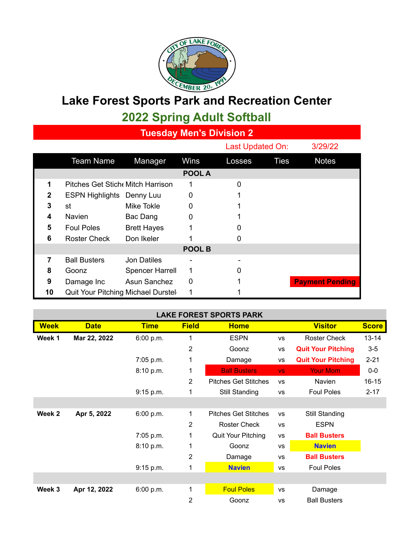

## **Lake Forest Sports Park and Recreation Center 2022 Spring Adult Softball**

**Tuesday Men's Division 2**

|               |                                         |                        |        | Last Updated On: |             | 3/29/22                |  |  |
|---------------|-----------------------------------------|------------------------|--------|------------------|-------------|------------------------|--|--|
|               | <b>Team Name</b>                        | Manager                | Wins   | Losses           | <b>Ties</b> | <b>Notes</b>           |  |  |
|               |                                         |                        | POOL A |                  |             |                        |  |  |
| 1             | <b>Pitches Get Stich Mitch Harrison</b> |                        | 1      | $\Omega$         |             |                        |  |  |
| 2             | <b>ESPN Highlights Denny Luu</b>        |                        | 0      |                  |             |                        |  |  |
| 3             | st                                      | Mike Tokle             | 0      |                  |             |                        |  |  |
| 4             | <b>Navien</b>                           | Bac Dang               | 0      |                  |             |                        |  |  |
| 5             | <b>Foul Poles</b>                       | <b>Brett Hayes</b>     |        |                  |             |                        |  |  |
| 6             | <b>Roster Check</b>                     | Don Ikeler             |        |                  |             |                        |  |  |
| <b>POOL B</b> |                                         |                        |        |                  |             |                        |  |  |
| 7             | <b>Ball Busters</b>                     | <b>Jon Datiles</b>     |        |                  |             |                        |  |  |
| 8             | Goonz                                   | <b>Spencer Harrell</b> | 1      | O                |             |                        |  |  |
| 9             | Damage Inc                              | Asun Sanchez           | 0      |                  |             | <b>Payment Pending</b> |  |  |
| 10            | Quit Your Pitching Michael Durstel      |                        | 1      |                  |             |                        |  |  |

| <b>LAKE FOREST SPORTS PARK</b> |              |             |                |                             |           |                           |              |  |  |
|--------------------------------|--------------|-------------|----------------|-----------------------------|-----------|---------------------------|--------------|--|--|
| <b>Week</b>                    | <b>Date</b>  | <b>Time</b> | <b>Field</b>   | <b>Home</b>                 |           | <b>Visitor</b>            | <b>Score</b> |  |  |
| Week 1                         | Mar 22, 2022 | 6:00 p.m.   | 1              | <b>ESPN</b>                 | <b>VS</b> | <b>Roster Check</b>       | $13 - 14$    |  |  |
|                                |              |             | $\overline{2}$ | Goonz                       | <b>VS</b> | <b>Quit Your Pitching</b> | $3-5$        |  |  |
|                                |              | 7:05 p.m.   | 1              | Damage                      | <b>VS</b> | <b>Quit Your Pitching</b> | $2 - 21$     |  |  |
|                                |              | 8:10 p.m.   | 1              | <b>Ball Busters</b>         | VS.       | <b>Your Mom</b>           | $0-0$        |  |  |
|                                |              |             | 2              | <b>Pitches Get Stitches</b> | <b>VS</b> | <b>Navien</b>             | $16 - 15$    |  |  |
|                                |              | 9:15 p.m.   | 1              | Still Standing              | <b>VS</b> | <b>Foul Poles</b>         | $2 - 17$     |  |  |
|                                |              |             |                |                             |           |                           |              |  |  |
| Week 2                         | Apr 5, 2022  | 6:00 p.m.   | 1              | <b>Pitches Get Stitches</b> | <b>VS</b> | Still Standing            |              |  |  |
|                                |              |             | 2              | Roster Check                | <b>VS</b> | <b>ESPN</b>               |              |  |  |
|                                |              | 7:05 p.m.   | 1              | Quit Your Pitching          | <b>VS</b> | <b>Ball Busters</b>       |              |  |  |
|                                |              | 8:10 p.m.   | 1              | Goonz                       | <b>VS</b> | <b>Navien</b>             |              |  |  |
|                                |              |             | $\overline{2}$ | Damage                      | <b>VS</b> | <b>Ball Busters</b>       |              |  |  |
|                                |              | 9:15 p.m.   | 1              | <b>Navien</b>               | <b>VS</b> | <b>Foul Poles</b>         |              |  |  |
|                                |              |             |                |                             |           |                           |              |  |  |
| Week 3                         | Apr 12, 2022 | 6:00 p.m.   | 1              | <b>Foul Poles</b>           | <b>VS</b> | Damage                    |              |  |  |
|                                |              |             | 2              | Goonz                       | <b>VS</b> | <b>Ball Busters</b>       |              |  |  |